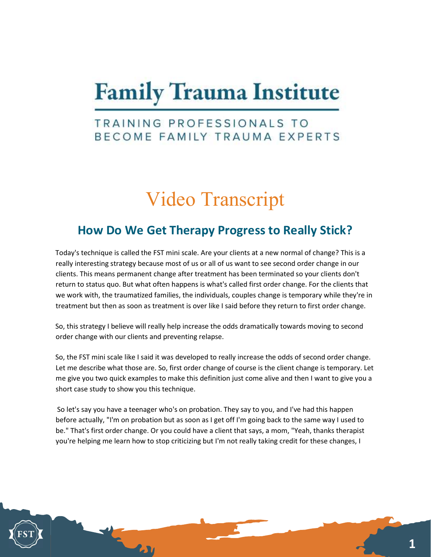## **Family Trauma Institute**

## TRAINING PROFESSIONALS TO BECOME FAMILY TRAUMA EXPERTS

## Video Transcript

## How Do We Get Therapy Progress to Really Stick?

Today's technique is called the FST mini scale. Are your clients at a new normal of change? This is a really interesting strategy because most of us or all of us want to see second order change in our clients. This means permanent change after treatment has been terminated so your clients don't return to status quo. But what often happens is what's called first order change. For the clients that we work with, the traumatized families, the individuals, couples change is temporary while they're in treatment but then as soon as treatment is over like I said before they return to first order change.

So, this strategy I believe will really help increase the odds dramatically towards moving to second order change with our clients and preventing relapse.

So, the FST mini scale like I said it was developed to really increase the odds of second order change. Let me describe what those are. So, first order change of course is the client change is temporary. Let me give you two quick examples to make this definition just come alive and then I want to give you a short case study to show you this technique.

 So let's say you have a teenager who's on probation. They say to you, and I've had this happen before actually, "I'm on probation but as soon as I get off I'm going back to the same way I used to be." That's first order change. Or you could have a client that says, a mom, "Yeah, thanks therapist you're helping me learn how to stop criticizing but I'm not really taking credit for these changes, I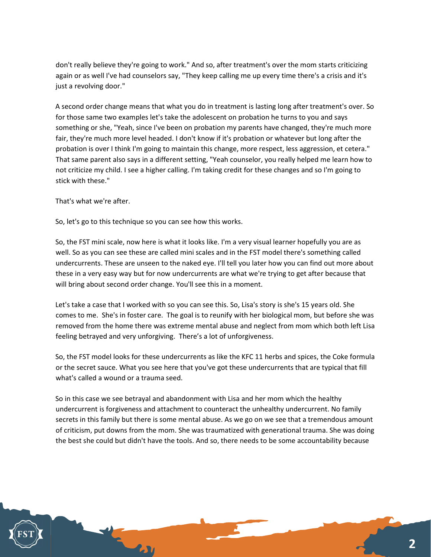don't really believe they're going to work." And so, after treatment's over the mom starts criticizing again or as well I've had counselors say, "They keep calling me up every time there's a crisis and it's just a revolving door."

A second order change means that what you do in treatment is lasting long after treatment's over. So for those same two examples let's take the adolescent on probation he turns to you and says something or she, "Yeah, since I've been on probation my parents have changed, they're much more fair, they're much more level headed. I don't know if it's probation or whatever but long after the probation is over I think I'm going to maintain this change, more respect, less aggression, et cetera." That same parent also says in a different setting, "Yeah counselor, you really helped me learn how to not criticize my child. I see a higher calling. I'm taking credit for these changes and so I'm going to stick with these."

That's what we're after.

So, let's go to this technique so you can see how this works.

So, the FST mini scale, now here is what it looks like. I'm a very visual learner hopefully you are as well. So as you can see these are called mini scales and in the FST model there's something called undercurrents. These are unseen to the naked eye. I'll tell you later how you can find out more about these in a very easy way but for now undercurrents are what we're trying to get after because that will bring about second order change. You'll see this in a moment.

Let's take a case that I worked with so you can see this. So, Lisa's story is she's 15 years old. She comes to me. She's in foster care. The goal is to reunify with her biological mom, but before she was removed from the home there was extreme mental abuse and neglect from mom which both left Lisa feeling betrayed and very unforgiving. There's a lot of unforgiveness.

So, the FST model looks for these undercurrents as like the KFC 11 herbs and spices, the Coke formula or the secret sauce. What you see here that you've got these undercurrents that are typical that fill what's called a wound or a trauma seed.

So in this case we see betrayal and abandonment with Lisa and her mom which the healthy undercurrent is forgiveness and attachment to counteract the unhealthy undercurrent. No family secrets in this family but there is some mental abuse. As we go on we see that a tremendous amount of criticism, put downs from the mom. She was traumatized with generational trauma. She was doing the best she could but didn't have the tools. And so, there needs to be some accountability because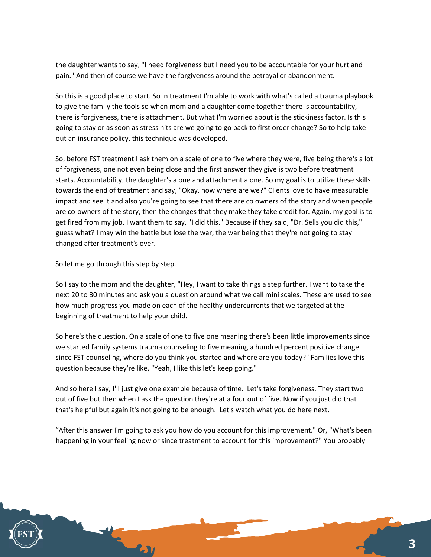the daughter wants to say, "I need forgiveness but I need you to be accountable for your hurt and pain." And then of course we have the forgiveness around the betrayal or abandonment.

So this is a good place to start. So in treatment I'm able to work with what's called a trauma playbook to give the family the tools so when mom and a daughter come together there is accountability, there is forgiveness, there is attachment. But what I'm worried about is the stickiness factor. Is this going to stay or as soon as stress hits are we going to go back to first order change? So to help take out an insurance policy, this technique was developed.

So, before FST treatment I ask them on a scale of one to five where they were, five being there's a lot of forgiveness, one not even being close and the first answer they give is two before treatment starts. Accountability, the daughter's a one and attachment a one. So my goal is to utilize these skills towards the end of treatment and say, "Okay, now where are we?" Clients love to have measurable impact and see it and also you're going to see that there are co owners of the story and when people are co-owners of the story, then the changes that they make they take credit for. Again, my goal is to get fired from my job. I want them to say, "I did this." Because if they said, "Dr. Sells you did this," guess what? I may win the battle but lose the war, the war being that they're not going to stay changed after treatment's over.

So let me go through this step by step.

So I say to the mom and the daughter, "Hey, I want to take things a step further. I want to take the next 20 to 30 minutes and ask you a question around what we call mini scales. These are used to see how much progress you made on each of the healthy undercurrents that we targeted at the beginning of treatment to help your child.

So here's the question. On a scale of one to five one meaning there's been little improvements since we started family systems trauma counseling to five meaning a hundred percent positive change since FST counseling, where do you think you started and where are you today?" Families love this question because they're like, "Yeah, I like this let's keep going."

And so here I say, I'll just give one example because of time. Let's take forgiveness. They start two out of five but then when I ask the question they're at a four out of five. Now if you just did that that's helpful but again it's not going to be enough. Let's watch what you do here next.

"After this answer I'm going to ask you how do you account for this improvement." Or, "What's been happening in your feeling now or since treatment to account for this improvement?" You probably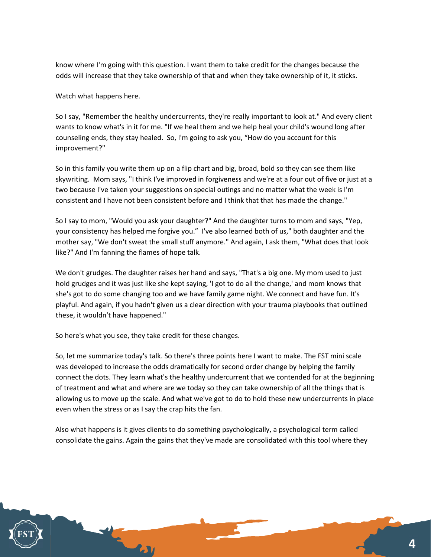know where I'm going with this question. I want them to take credit for the changes because the odds will increase that they take ownership of that and when they take ownership of it, it sticks.

Watch what happens here.

So I say, "Remember the healthy undercurrents, they're really important to look at." And every client wants to know what's in it for me. "If we heal them and we help heal your child's wound long after counseling ends, they stay healed. So, I'm going to ask you, "How do you account for this improvement?"

So in this family you write them up on a flip chart and big, broad, bold so they can see them like skywriting. Mom says, "I think I've improved in forgiveness and we're at a four out of five or just at a two because I've taken your suggestions on special outings and no matter what the week is I'm consistent and I have not been consistent before and I think that that has made the change."

So I say to mom, "Would you ask your daughter?" And the daughter turns to mom and says, "Yep, your consistency has helped me forgive you." I've also learned both of us," both daughter and the mother say, "We don't sweat the small stuff anymore." And again, I ask them, "What does that look like?" And I'm fanning the flames of hope talk.

We don't grudges. The daughter raises her hand and says, "That's a big one. My mom used to just hold grudges and it was just like she kept saying, 'I got to do all the change,' and mom knows that she's got to do some changing too and we have family game night. We connect and have fun. It's playful. And again, if you hadn't given us a clear direction with your trauma playbooks that outlined these, it wouldn't have happened."

So here's what you see, they take credit for these changes.

So, let me summarize today's talk. So there's three points here I want to make. The FST mini scale was developed to increase the odds dramatically for second order change by helping the family connect the dots. They learn what's the healthy undercurrent that we contended for at the beginning of treatment and what and where are we today so they can take ownership of all the things that is allowing us to move up the scale. And what we've got to do to hold these new undercurrents in place even when the stress or as I say the crap hits the fan.

Also what happens is it gives clients to do something psychologically, a psychological term called consolidate the gains. Again the gains that they've made are consolidated with this tool where they